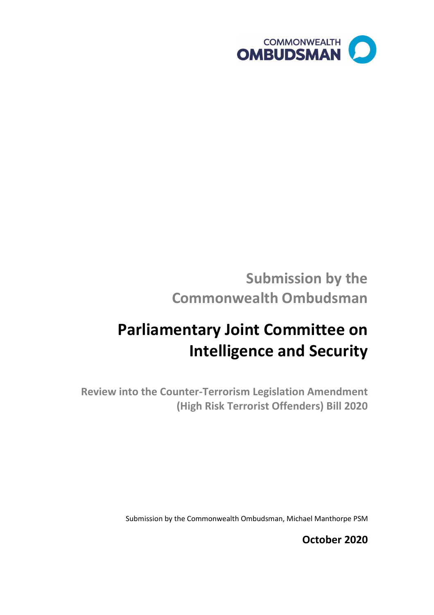

## **Submission by the Commonwealth Ombudsman**

# **Parliamentary Joint Committee on Intelligence and Security**

**Review into the Counter-Terrorism Legislation Amendment (High Risk Terrorist Offenders) Bill 2020** 

Submission by the Commonwealth Ombudsman, Michael Manthorpe PSM

**October 2020**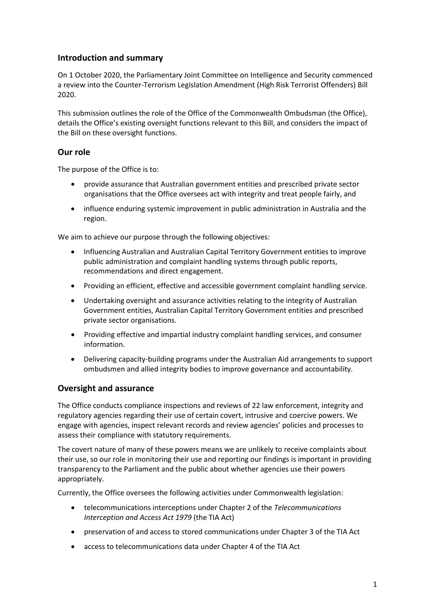#### **Introduction and summary**

On 1 October 2020, the Parliamentary Joint Committee on Intelligence and Security commenced a review into the Counter-Terrorism Legislation Amendment (High Risk Terrorist Offenders) Bill 2020.

This submission outlines the role of the Office of the Commonwealth Ombudsman (the Office), details the Office's existing oversight functions relevant to this Bill, and considers the impact of the Bill on these oversight functions.

#### **Our role**

The purpose of the Office is to:

- provide assurance that Australian government entities and prescribed private sector organisations that the Office oversees act with integrity and treat people fairly, and
- influence enduring systemic improvement in public administration in Australia and the region.

We aim to achieve our purpose through the following objectives:

- Influencing Australian and Australian Capital Territory Government entities to improve public administration and complaint handling systems through public reports, recommendations and direct engagement.
- Providing an efficient, effective and accessible government complaint handling service.
- Undertaking oversight and assurance activities relating to the integrity of Australian Government entities, Australian Capital Territory Government entities and prescribed private sector organisations.
- Providing effective and impartial industry complaint handling services, and consumer information.
- Delivering capacity-building programs under the Australian Aid arrangements to support ombudsmen and allied integrity bodies to improve governance and accountability.

#### **Oversight and assurance**

The Office conducts compliance inspections and reviews of 22 law enforcement, integrity and regulatory agencies regarding their use of certain covert, intrusive and coercive powers. We engage with agencies, inspect relevant records and review agencies' policies and processes to assess their compliance with statutory requirements.

The covert nature of many of these powers means we are unlikely to receive complaints about their use, so our role in monitoring their use and reporting our findings is important in providing transparency to the Parliament and the public about whether agencies use their powers appropriately.

Currently, the Office oversees the following activities under Commonwealth legislation:

- telecommunications interceptions under Chapter 2 of the *Telecommunications Interception and Access Act 1979* (the TIA Act)
- preservation of and access to stored communications under Chapter 3 of the TIA Act
- access to telecommunications data under Chapter 4 of the TIA Act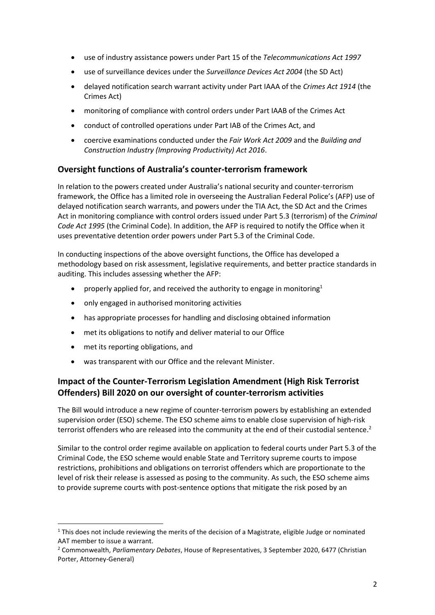- use of industry assistance powers under Part 15 of the *Telecommunications Act 1997*
- use of surveillance devices under the *Surveillance Devices Act 2004* (the SD Act)
- delayed notification search warrant activity under Part IAAA of the *Crimes Act 1914* (the Crimes Act)
- monitoring of compliance with control orders under Part IAAB of the Crimes Act
- conduct of controlled operations under Part IAB of the Crimes Act, and
- coercive examinations conducted under the *Fair Work Act 2009* and the *Building and Construction Industry (Improving Productivity) Act 2016*.

#### **Oversight functions of Australia's counter-terrorism framework**

In relation to the powers created under Australia's national security and counter-terrorism framework, the Office has a limited role in overseeing the Australian Federal Police's (AFP) use of delayed notification search warrants, and powers under the TIA Act, the SD Act and the Crimes Act in monitoring compliance with control orders issued under Part 5.3 (terrorism) of the *Criminal Code Act 1995* (the Criminal Code). In addition, the AFP is required to notify the Office when it uses preventative detention order powers under Part 5.3 of the Criminal Code.

In conducting inspections of the above oversight functions, the Office has developed a methodology based on risk assessment, legislative requirements, and better practice standards in auditing. This includes assessing whether the AFP:

- properly applied for, and received the authority to engage in monitoring<sup>1</sup>
- only engaged in authorised monitoring activities
- has appropriate processes for handling and disclosing obtained information
- met its obligations to notify and deliver material to our Office
- met its reporting obligations, and
- was transparent with our Office and the relevant Minister.

### **Impact of the Counter-Terrorism Legislation Amendment (High Risk Terrorist Offenders) Bill 2020 on our oversight of counter-terrorism activities**

The Bill would introduce a new regime of counter-terrorism powers by establishing an extended supervision order (ESO) scheme. The ESO scheme aims to enable close supervision of high-risk terrorist offenders who are released into the community at the end of their custodial sentence.<sup>2</sup>

Similar to the control order regime available on application to federal courts under Part 5.3 of the Criminal Code, the ESO scheme would enable State and Territory supreme courts to impose restrictions, prohibitions and obligations on terrorist offenders which are proportionate to the level of risk their release is assessed as posing to the community. As such, the ESO scheme aims to provide supreme courts with post-sentence options that mitigate the risk posed by an

 $1$  This does not include reviewing the merits of the decision of a Magistrate, eligible Judge or nominated AAT member to issue a warrant.

<sup>2</sup> Commonwealth, *Parliamentary Debates*, House of Representatives, 3 September 2020, 6477 (Christian Porter, Attorney-General)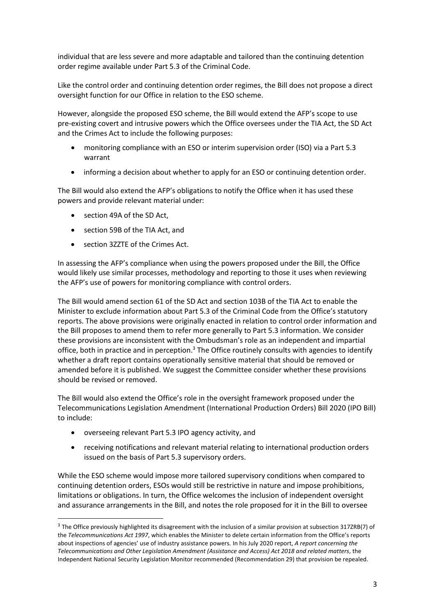individual that are less severe and more adaptable and tailored than the continuing detention order regime available under Part 5.3 of the Criminal Code.

Like the control order and continuing detention order regimes, the Bill does not propose a direct oversight function for our Office in relation to the ESO scheme.

However, alongside the proposed ESO scheme, the Bill would extend the AFP's scope to use pre-existing covert and intrusive powers which the Office oversees under the TIA Act, the SD Act and the Crimes Act to include the following purposes:

- monitoring compliance with an ESO or interim supervision order (ISO) via a Part 5.3 warrant
- informing a decision about whether to apply for an ESO or continuing detention order.

The Bill would also extend the AFP's obligations to notify the Office when it has used these powers and provide relevant material under:

- section 49A of the SD Act,
- section 59B of the TIA Act, and
- section 3ZZTE of the Crimes Act.

In assessing the AFP's compliance when using the powers proposed under the Bill, the Office would likely use similar processes, methodology and reporting to those it uses when reviewing the AFP's use of powers for monitoring compliance with control orders.

The Bill would amend section 61 of the SD Act and section 103B of the TIA Act to enable the Minister to exclude information about Part 5.3 of the Criminal Code from the Office's statutory reports. The above provisions were originally enacted in relation to control order information and the Bill proposes to amend them to refer more generally to Part 5.3 information. We consider these provisions are inconsistent with the Ombudsman's role as an independent and impartial office, both in practice and in perception.<sup>3</sup> The Office routinely consults with agencies to identify whether a draft report contains operationally sensitive material that should be removed or amended before it is published. We suggest the Committee consider whether these provisions should be revised or removed.

The Bill would also extend the Office's role in the oversight framework proposed under the Telecommunications Legislation Amendment (International Production Orders) Bill 2020 (IPO Bill) to include:

- overseeing relevant Part 5.3 IPO agency activity, and
- receiving notifications and relevant material relating to international production orders issued on the basis of Part 5.3 supervisory orders.

While the ESO scheme would impose more tailored supervisory conditions when compared to continuing detention orders, ESOs would still be restrictive in nature and impose prohibitions, limitations or obligations. In turn, the Office welcomes the inclusion of independent oversight and assurance arrangements in the Bill, and notes the role proposed for it in the Bill to oversee

<sup>3</sup> The Office previously highlighted its disagreement with the inclusion of a similar provision at subsection 317ZRB(7) of the *Telecommunications Act 1997*, which enables the Minister to delete certain information from the Office's reports about inspections of agencies' use of industry assistance powers. In his July 2020 report, *A report concerning the Telecommunications and Other Legislation Amendment (Assistance and Access) Act 2018 and related matters*, the Independent National Security Legislation Monitor recommended (Recommendation 29) that provision be repealed.